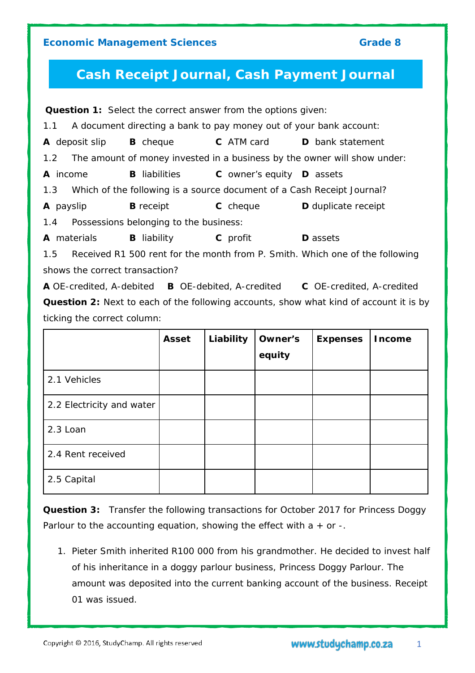# **Cash Receipt Journal, Cash Payment Journal**

|                                |                                            | <b>Question 1:</b> Select the correct answer from the options given: |                                                                                               |
|--------------------------------|--------------------------------------------|----------------------------------------------------------------------|-----------------------------------------------------------------------------------------------|
|                                |                                            |                                                                      | 1.1 A document directing a bank to pay money out of your bank account:                        |
| <b>A</b> deposit slip          | <b>B</b> cheque                            |                                                                      | <b>C</b> ATM card <b>D</b> bank statement                                                     |
|                                |                                            |                                                                      | 1.2 The amount of money invested in a business by the owner will show under:                  |
| A income                       |                                            | <b>B</b> liabilities <b>C</b> owner's equity <b>D</b> assets         |                                                                                               |
|                                |                                            |                                                                      | 1.3 Which of the following is a source document of a Cash Receipt Journal?                    |
| <b>A</b> payslip               | <b>B</b> receipt                           | <b>C</b> cheque                                                      | <b>D</b> duplicate receipt                                                                    |
|                                | 1.4 Possessions belonging to the business: |                                                                      |                                                                                               |
| <b>A</b> materials             | <b>B</b> liability                         | <b>C</b> profit                                                      | <b>D</b> assets                                                                               |
|                                |                                            |                                                                      | 1.5 Received R1 500 rent for the month from P. Smith. Which one of the following              |
| shows the correct transaction? |                                            |                                                                      |                                                                                               |
|                                |                                            |                                                                      | A OE-credited, A-debited B OE-debited, A-credited C OE-credited, A-credited                   |
|                                |                                            |                                                                      | <b>Question 2:</b> Next to each of the following accounts, show what kind of account it is by |
| ticking the correct column:    |                                            |                                                                      |                                                                                               |

|                           | <b>Asset</b> | Liability | Owner's<br>equity | <b>Expenses</b> | <b>Income</b> |
|---------------------------|--------------|-----------|-------------------|-----------------|---------------|
| 2.1 Vehicles              |              |           |                   |                 |               |
| 2.2 Electricity and water |              |           |                   |                 |               |
| 2.3 Loan                  |              |           |                   |                 |               |
| 2.4 Rent received         |              |           |                   |                 |               |
| 2.5 Capital               |              |           |                   |                 |               |

**Question 3:** *Transfer the following transactions for October 2017 for Princess Doggy Parlour to the accounting equation, showing the effect with a + or -.*

1. Pieter Smith inherited R100 000 from his grandmother. He decided to invest half of his inheritance in a doggy parlour business, Princess Doggy Parlour. The amount was deposited into the current banking account of the business. Receipt 01 was issued.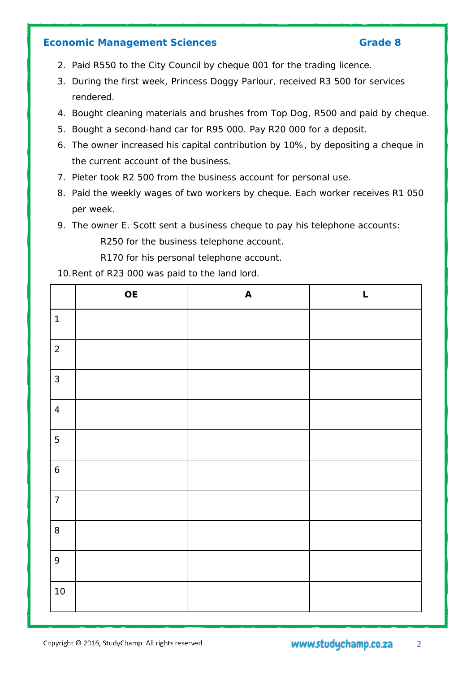- 2. Paid R550 to the City Council by cheque 001 for the trading licence.
- 3. During the first week, Princess Doggy Parlour, received R3 500 for services rendered.
- 4. Bought cleaning materials and brushes from Top Dog, R500 and paid by cheque.
- 5. Bought a second-hand car for R95 000. Pay R20 000 for a deposit.
- 6. The owner increased his capital contribution by 10%, by depositing a cheque in the current account of the business.
- 7. Pieter took R2 500 from the business account for personal use.
- 8. Paid the weekly wages of two workers by cheque. Each worker receives R1 050 per week.
- 9. The owner E. Scott sent a business cheque to pay his telephone accounts: R250 for the business telephone account.

R170 for his personal telephone account.

10.Rent of R23 000 was paid to the land lord.

|                  | <b>OE</b> | $\boldsymbol{\mathsf{A}}$ | L |
|------------------|-----------|---------------------------|---|
| $\mathbf{1}$     |           |                           |   |
| $\overline{c}$   |           |                           |   |
| $\mathbf{3}$     |           |                           |   |
| $\overline{4}$   |           |                           |   |
| $\overline{5}$   |           |                           |   |
| $\boldsymbol{6}$ |           |                           |   |
| $\boldsymbol{7}$ |           |                           |   |
| $\, 8$           |           |                           |   |
| 9                |           |                           |   |
| 10               |           |                           |   |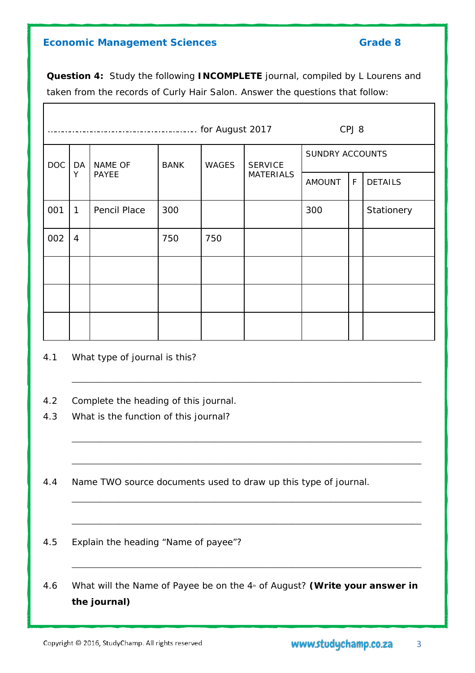**Question 4:** *Study the following INCOMPLETE journal, compiled by L Lourens and taken from the records of Curly Hair Salon. Answer the questions that follow:*

|            | CPJ8           |              |             |              |                                    |                 |               |             |                |  |  |
|------------|----------------|--------------|-------------|--------------|------------------------------------|-----------------|---------------|-------------|----------------|--|--|
| <b>DOC</b> | DA             | NAME OF      | <b>BANK</b> | <b>WAGES</b> | <b>SERVICE</b><br><b>MATERIALS</b> | SUNDRY ACCOUNTS |               |             |                |  |  |
|            | Υ              | PAYEE        |             |              |                                    |                 | <b>AMOUNT</b> | $\mathsf F$ | <b>DETAILS</b> |  |  |
| 001        | 1              | Pencil Place | 300         |              |                                    | 300             |               | Stationery  |                |  |  |
| 002        | $\overline{4}$ |              | 750         | 750          |                                    |                 |               |             |                |  |  |
|            |                |              |             |              |                                    |                 |               |             |                |  |  |
|            |                |              |             |              |                                    |                 |               |             |                |  |  |
|            |                |              |             |              |                                    |                 |               |             |                |  |  |

\_\_\_\_\_\_\_\_\_\_\_\_\_\_\_\_\_\_\_\_\_\_\_\_\_\_\_\_\_\_\_\_\_\_\_\_\_\_\_\_\_\_\_\_\_\_\_\_\_\_\_\_\_\_\_\_\_\_\_\_\_\_\_\_\_\_\_\_\_\_\_\_\_

\_\_\_\_\_\_\_\_\_\_\_\_\_\_\_\_\_\_\_\_\_\_\_\_\_\_\_\_\_\_\_\_\_\_\_\_\_\_\_\_\_\_\_\_\_\_\_\_\_\_\_\_\_\_\_\_\_\_\_\_\_\_\_\_\_\_\_\_\_\_\_\_\_

\_\_\_\_\_\_\_\_\_\_\_\_\_\_\_\_\_\_\_\_\_\_\_\_\_\_\_\_\_\_\_\_\_\_\_\_\_\_\_\_\_\_\_\_\_\_\_\_\_\_\_\_\_\_\_\_\_\_\_\_\_\_\_\_\_\_\_\_\_\_\_\_\_

\_\_\_\_\_\_\_\_\_\_\_\_\_\_\_\_\_\_\_\_\_\_\_\_\_\_\_\_\_\_\_\_\_\_\_\_\_\_\_\_\_\_\_\_\_\_\_\_\_\_\_\_\_\_\_\_\_\_\_\_\_\_\_\_\_\_\_\_\_\_\_\_\_

\_\_\_\_\_\_\_\_\_\_\_\_\_\_\_\_\_\_\_\_\_\_\_\_\_\_\_\_\_\_\_\_\_\_\_\_\_\_\_\_\_\_\_\_\_\_\_\_\_\_\_\_\_\_\_\_\_\_\_\_\_\_\_\_\_\_\_\_\_\_\_\_\_

\_\_\_\_\_\_\_\_\_\_\_\_\_\_\_\_\_\_\_\_\_\_\_\_\_\_\_\_\_\_\_\_\_\_\_\_\_\_\_\_\_\_\_\_\_\_\_\_\_\_\_\_\_\_\_\_\_\_\_\_\_\_\_\_\_\_\_\_\_\_\_\_\_

4.1 What type of journal is this?

4.2 Complete the heading of this journal.

4.3 What is the function of this journal?

4.4 Name TWO source documents used to draw up this type of journal.

4.5 Explain the heading *"Name of payee"*?

4.6 What will the Name of Payee be on the 4<sup>th</sup> of August? **(Write your answer in the journal)**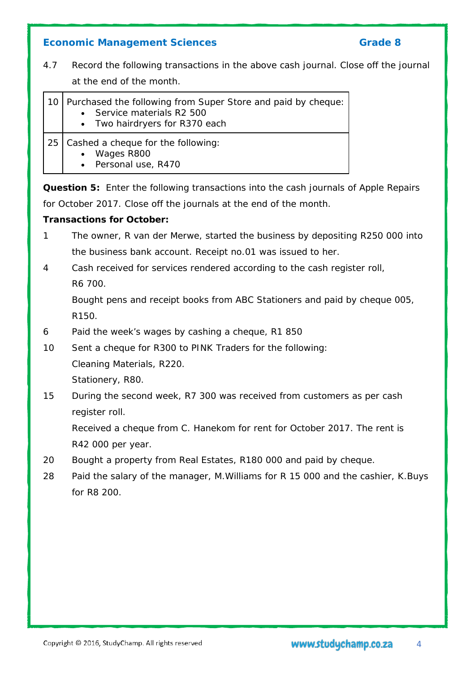4.7 *Record the following transactions in the above cash journal. Close off the journal* 

*at the end of the month.*

| 10   Purchased the following from Super Store and paid by cheque: I<br>Service materials R2 500<br>• Two hairdryers for R370 each |
|-----------------------------------------------------------------------------------------------------------------------------------|
| 25   Cashed a cheque for the following:<br>Wages R800<br>• Personal use, R470                                                     |

**Question 5:** *Enter the following transactions into the cash journals of Apple Repairs for October 2017. Close off the journals at the end of the month*.

### *Transactions for October:*

- 1 The owner, R van der Merwe, started the business by depositing R250 000 into the business bank account. Receipt no.01 was issued to her.
- 4 Cash received for services rendered according to the cash register roll, R6 700.

Bought pens and receipt books from ABC Stationers and paid by cheque 005, R150.

- 6 Paid the week's wages by cashing a cheque, R1 850
- 10 Sent a cheque for R300 to PINK Traders for the following: Cleaning Materials, R220. Stationery, R80.

15 During the second week, R7 300 was received from customers as per cash register roll.

Received a cheque from C. Hanekom for rent for October 2017. The rent is R42 000 per year.

- 20 Bought a property from Real Estates, R180 000 and paid by cheque.
- 28 Paid the salary of the manager, M.Williams for R 15 000 and the cashier, K.Buys for R8 200.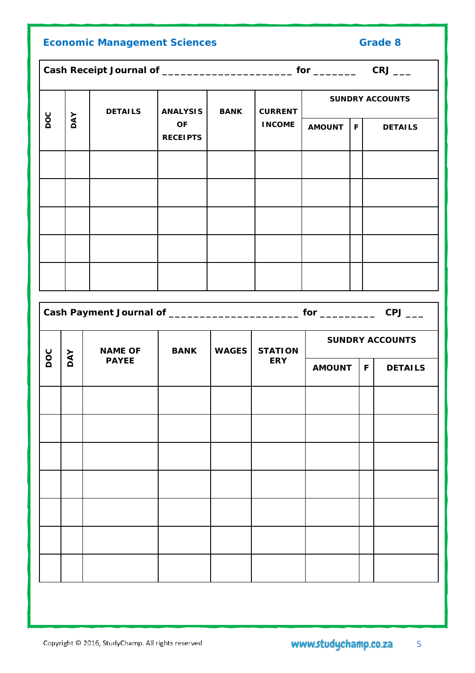|     | <b>Economic Management Sciences</b><br><b>Grade 8</b> |                |                       |              |                |               |              |                        |  |
|-----|-------------------------------------------------------|----------------|-----------------------|--------------|----------------|---------------|--------------|------------------------|--|
|     |                                                       |                |                       |              |                |               |              |                        |  |
|     |                                                       | <b>DETAILS</b> | <b>ANALYSIS</b>       | <b>BANK</b>  | <b>CURRENT</b> |               |              | <b>SUNDRY ACCOUNTS</b> |  |
| poc | <b>DAY</b>                                            |                | OF<br><b>RECEIPTS</b> |              | <b>INCOME</b>  | <b>AMOUNT</b> | $\mathsf{F}$ | <b>DETAILS</b>         |  |
|     |                                                       |                |                       |              |                |               |              |                        |  |
|     |                                                       |                |                       |              |                |               |              |                        |  |
|     |                                                       |                |                       |              |                |               |              |                        |  |
|     |                                                       |                |                       |              |                |               |              |                        |  |
|     |                                                       |                |                       |              |                |               |              |                        |  |
| DOC |                                                       | <b>NAME OF</b> | <b>BANK</b>           | <b>WAGES</b> | <b>STATION</b> |               |              | <b>SUNDRY ACCOUNTS</b> |  |
|     | <b>DAY</b>                                            | <b>PAYEE</b>   |                       |              | <b>ERY</b>     | <b>AMOUNT</b> | F            | <b>DETAILS</b>         |  |
|     |                                                       |                |                       |              |                |               |              |                        |  |
|     |                                                       |                |                       |              |                |               |              |                        |  |
|     |                                                       |                |                       |              |                |               |              |                        |  |
|     |                                                       |                |                       |              |                |               |              |                        |  |
|     |                                                       |                |                       |              |                |               |              |                        |  |
|     |                                                       |                |                       |              |                |               |              |                        |  |
|     |                                                       |                |                       |              |                |               |              |                        |  |
|     |                                                       |                |                       |              |                |               |              |                        |  |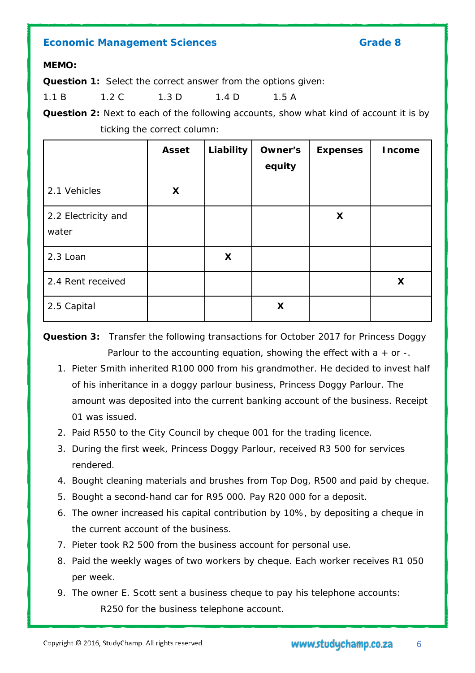**MEMO:**

**Question 1:** *Select the correct answer from the options given:*

1.1 B 1.2 C 1.3 D 1.4 D 1.5 A

**Question 2:** *Next to each of the following accounts, show what kind of account it is by ticking the correct column:*

|                              | <b>Asset</b> | Liability | Owner's<br>equity | <b>Expenses</b> | <b>Income</b> |
|------------------------------|--------------|-----------|-------------------|-----------------|---------------|
| 2.1 Vehicles                 | X            |           |                   |                 |               |
| 2.2 Electricity and<br>water |              |           |                   | X               |               |
| 2.3 Loan                     |              | X         |                   |                 |               |
| 2.4 Rent received            |              |           |                   |                 | X             |
| 2.5 Capital                  |              |           | X                 |                 |               |

**Question 3:** *Transfer the following transactions for October 2017 for Princess Doggy Parlour to the accounting equation, showing the effect with a + or -.*

- 1. Pieter Smith inherited R100 000 from his grandmother. He decided to invest half of his inheritance in a doggy parlour business, Princess Doggy Parlour. The amount was deposited into the current banking account of the business. Receipt 01 was issued.
- 2. Paid R550 to the City Council by cheque 001 for the trading licence.
- 3. During the first week, Princess Doggy Parlour, received R3 500 for services rendered.
- 4. Bought cleaning materials and brushes from Top Dog, R500 and paid by cheque.
- 5. Bought a second-hand car for R95 000. Pay R20 000 for a deposit.
- 6. The owner increased his capital contribution by 10%, by depositing a cheque in the current account of the business.
- 7. Pieter took R2 500 from the business account for personal use.
- 8. Paid the weekly wages of two workers by cheque. Each worker receives R1 050 per week.
- 9. The owner E. Scott sent a business cheque to pay his telephone accounts: R250 for the business telephone account.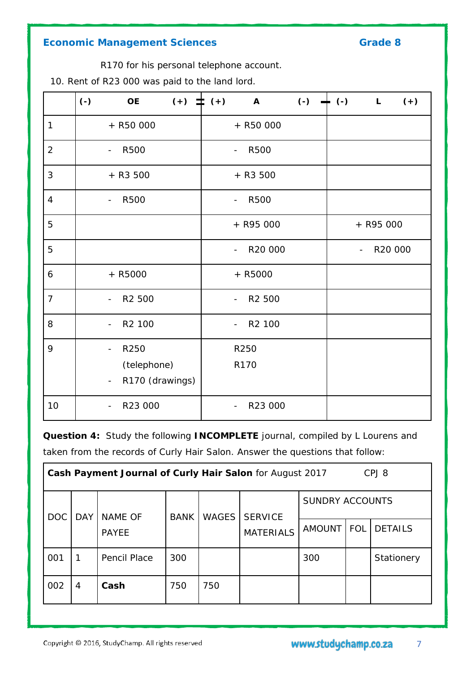

R170 for his personal telephone account.

10. Rent of R23 000 was paid to the land lord.

|                | $(-)$<br><b>OE</b>                                                                             | $(+)$ $\equiv$ $(+)$ | $\overline{A}$                          | $(-)$                               | $\div$ (-) L |           | $(+)$ |
|----------------|------------------------------------------------------------------------------------------------|----------------------|-----------------------------------------|-------------------------------------|--------------|-----------|-------|
| $\mathbf{1}$   | + R50 000                                                                                      |                      | + R50 000                               |                                     |              |           |       |
| $\overline{2}$ | <b>R500</b><br>$\overline{\phantom{a}}$                                                        |                      | <b>R500</b><br>$\overline{\phantom{a}}$ |                                     |              |           |       |
| 3              | $+$ R3 500                                                                                     |                      | $+$ R3 500                              |                                     |              |           |       |
| $\overline{4}$ | <b>R500</b><br>$\blacksquare$                                                                  |                      | <b>R500</b><br>$\overline{\phantom{0}}$ |                                     |              |           |       |
| 5              |                                                                                                |                      | + R95 000                               |                                     |              | + R95 000 |       |
| 5              |                                                                                                |                      | R20 000<br>$\overline{\phantom{a}}$     | R20 000<br>$\overline{\phantom{0}}$ |              |           |       |
| 6              | + R5000                                                                                        |                      | + R5000                                 |                                     |              |           |       |
| $\overline{7}$ | R <sub>2</sub> 500                                                                             |                      | R <sub>2</sub> 500                      |                                     |              |           |       |
| 8              | R <sub>2</sub> 100                                                                             |                      | R <sub>2</sub> 100                      |                                     |              |           |       |
| 9              | R250<br>$\overline{\phantom{0}}$<br>(telephone)<br>R170 (drawings)<br>$\overline{\phantom{a}}$ |                      | R250<br>R170                            |                                     |              |           |       |
| 10             | R23 000                                                                                        |                      | R23 000                                 |                                     |              |           |       |

**Question 4:** *Study the following INCOMPLETE journal, compiled by L Lourens and taken from the records of Curly Hair Salon. Answer the questions that follow:*

|            | Cash Payment Journal of Curly Hair Salon for August 2017<br>CPJ8 |                |             |              |                  |                 |            |                |  |  |
|------------|------------------------------------------------------------------|----------------|-------------|--------------|------------------|-----------------|------------|----------------|--|--|
| <b>DOC</b> | <b>DAY</b>                                                       | <b>NAME OF</b> | <b>BANK</b> | <b>WAGES</b> | <b>SERVICE</b>   | SUNDRY ACCOUNTS |            |                |  |  |
|            |                                                                  | <b>PAYEE</b>   |             |              | <b>MATERIALS</b> | <b>AMOUNT</b>   | <b>FOL</b> | <b>DETAILS</b> |  |  |
| 001        |                                                                  | Pencil Place   | 300         |              |                  | 300             |            | Stationery     |  |  |
| 002        | Cash<br>750<br>750<br>$\overline{4}$                             |                |             |              |                  |                 |            |                |  |  |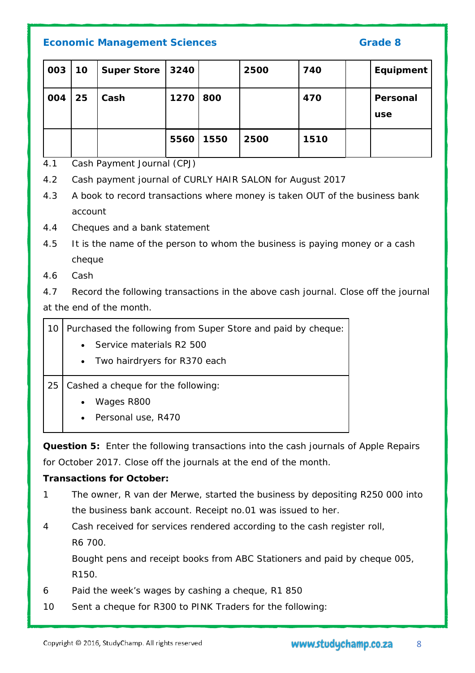| 003 | 10 | <b>Super Store</b> | 3240 |      | 2500 | 740  | Equipment       |
|-----|----|--------------------|------|------|------|------|-----------------|
| 004 | 25 | Cash               | 1270 | 800  |      | 470  | Personal<br>use |
|     |    |                    | 5560 | 1550 | 2500 | 1510 |                 |

- 4.1 Cash Payment Journal (CPJ)
- 4.2 Cash payment journal of CURLY HAIR SALON for August 2017
- 4.3 A book to record transactions where money is taken OUT of the business bank account
- 4.4 Cheques and a bank statement
- 4.5 It is the name of the person to whom the business is paying money or a cash cheque
- 4.6 Cash

4.7 *Record the following transactions in the above cash journal. Close off the journal at the end of the month.*

| 10 | Purchased the following from Super Store and paid by cheque: |  |  |  |  |  |  |
|----|--------------------------------------------------------------|--|--|--|--|--|--|
|    | Service materials R2 500<br>$\bullet$                        |  |  |  |  |  |  |
|    | • Two hairdryers for R370 each                               |  |  |  |  |  |  |
|    |                                                              |  |  |  |  |  |  |
| 25 | Cashed a cheque for the following:                           |  |  |  |  |  |  |
|    | Wages R800<br>٠                                              |  |  |  |  |  |  |
|    | Personal use, R470<br>$\bullet$                              |  |  |  |  |  |  |
|    |                                                              |  |  |  |  |  |  |

**Question 5:** *Enter the following transactions into the cash journals of Apple Repairs for October 2017. Close off the journals at the end of the month*.

# *Transactions for October:*

- 1 The owner, R van der Merwe, started the business by depositing R250 000 into the business bank account. Receipt no.01 was issued to her.
- 4 Cash received for services rendered according to the cash register roll, R6 700.

Bought pens and receipt books from ABC Stationers and paid by cheque 005, R150.

- 6 Paid the week's wages by cashing a cheque, R1 850
- 10 Sent a cheque for R300 to PINK Traders for the following: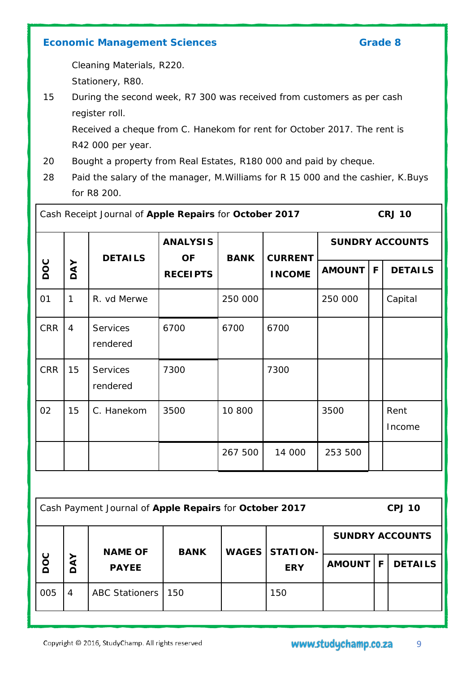Cleaning Materials, R220.

Stationery, R80.

15 During the second week, R7 300 was received from customers as per cash register roll.

Received a cheque from C. Hanekom for rent for October 2017. The rent is R42 000 per year.

- 20 Bought a property from Real Estates, R180 000 and paid by cheque.
- 28 Paid the salary of the manager, M.Williams for R 15 000 and the cashier, K.Buys for R8 200.

|            | Cash Receipt Journal of Apple Repairs for October 2017 |                             |                              |             |                |               |                        | <b>CRJ 10</b>  |
|------------|--------------------------------------------------------|-----------------------------|------------------------------|-------------|----------------|---------------|------------------------|----------------|
|            |                                                        | <b>DETAILS</b>              | <b>ANALYSIS</b><br><b>OF</b> | <b>BANK</b> | <b>CURRENT</b> |               | <b>SUNDRY ACCOUNTS</b> |                |
| DOC        | <b>DAY</b>                                             |                             | <b>RECEIPTS</b>              |             | <b>INCOME</b>  | <b>AMOUNT</b> | F                      | <b>DETAILS</b> |
| 01         | $\mathbf{1}$                                           | R. vd Merwe                 |                              | 250 000     |                | 250 000       |                        | Capital        |
| <b>CRR</b> | 4                                                      | <b>Services</b><br>rendered | 6700                         | 6700        | 6700           |               |                        |                |
| <b>CRR</b> | 15                                                     | Services<br>rendered        | 7300                         |             | 7300           |               |                        |                |
| 02         | 15                                                     | C. Hanekom                  | 3500                         | 10 800      |                | 3500          |                        | Rent<br>Income |
|            |                                                        |                             |                              | 267 500     | 14 000         | 253 500       |                        |                |

| Cash Payment Journal of Apple Repairs for October 2017<br><b>CPJ 10</b> |                |                                |             |              |                               |                        |   |                |  |  |
|-------------------------------------------------------------------------|----------------|--------------------------------|-------------|--------------|-------------------------------|------------------------|---|----------------|--|--|
| DOC                                                                     | <b>DAY</b>     | <b>NAME OF</b><br><b>PAYEE</b> | <b>BANK</b> | <b>WAGES</b> | <b>STATION-</b><br><b>ERY</b> | <b>SUNDRY ACCOUNTS</b> |   |                |  |  |
|                                                                         |                |                                |             |              |                               | <b>AMOUNT</b>          | F | <b>DETAILS</b> |  |  |
| 005                                                                     | $\overline{4}$ | <b>ABC Stationers</b>          | 150         |              | 150                           |                        |   |                |  |  |